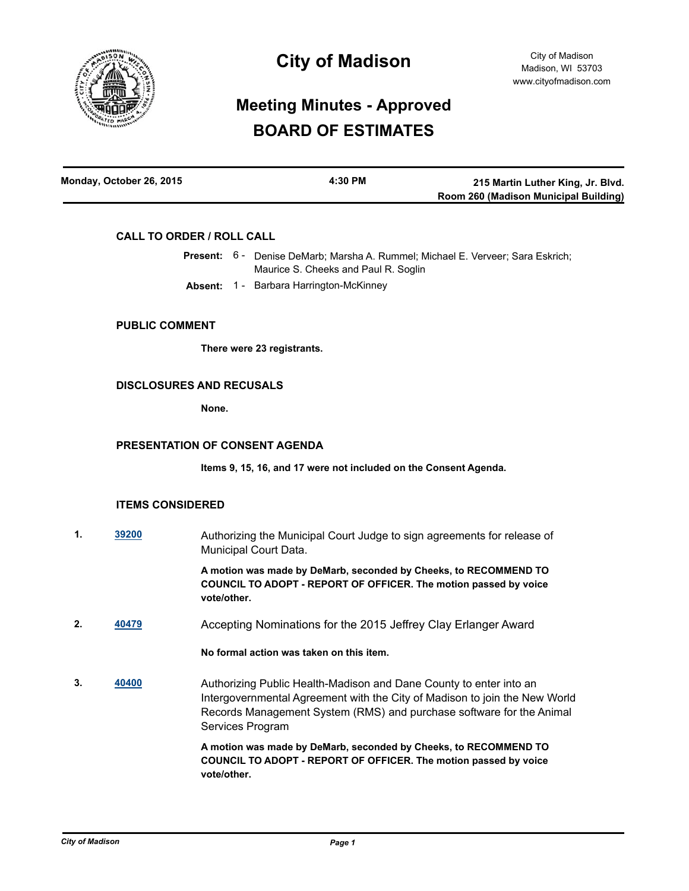

# **City of Madison**

# **Meeting Minutes - Approved BOARD OF ESTIMATES**

| Monday, October 26, 2015 | 4:30 PM | 215 Martin Luther King, Jr. Blvd.     |
|--------------------------|---------|---------------------------------------|
|                          |         | Room 260 (Madison Municipal Building) |

## **CALL TO ORDER / ROLL CALL**

|  | <b>Present:</b> 6 - Denise DeMarb; Marsha A. Rummel; Michael E. Verveer; Sara Eskrich; |  |
|--|----------------------------------------------------------------------------------------|--|
|  | Maurice S. Cheeks and Paul R. Soglin                                                   |  |
|  | <b>Absent: 1 - Barbara Harrington-McKinney</b>                                         |  |

#### **PUBLIC COMMENT**

**There were 23 registrants.**

### **DISCLOSURES AND RECUSALS**

**None.**

# **PRESENTATION OF CONSENT AGENDA**

**Items 9, 15, 16, and 17 were not included on the Consent Agenda.**

#### **ITEMS CONSIDERED**

**1. [39200](http://madison.legistar.com/gateway.aspx?m=l&id=/matter.aspx?key=41803)** Authorizing the Municipal Court Judge to sign agreements for release of Municipal Court Data.

> **A motion was made by DeMarb, seconded by Cheeks, to RECOMMEND TO COUNCIL TO ADOPT - REPORT OF OFFICER. The motion passed by voice vote/other.**

**2. [40479](http://madison.legistar.com/gateway.aspx?m=l&id=/matter.aspx?key=43974)** Accepting Nominations for the 2015 Jeffrey Clay Erlanger Award

# **No formal action was taken on this item.**

**3. [40400](http://madison.legistar.com/gateway.aspx?m=l&id=/matter.aspx?key=43899)** Authorizing Public Health-Madison and Dane County to enter into an Intergovernmental Agreement with the City of Madison to join the New World Records Management System (RMS) and purchase software for the Animal Services Program

> **A motion was made by DeMarb, seconded by Cheeks, to RECOMMEND TO COUNCIL TO ADOPT - REPORT OF OFFICER. The motion passed by voice vote/other.**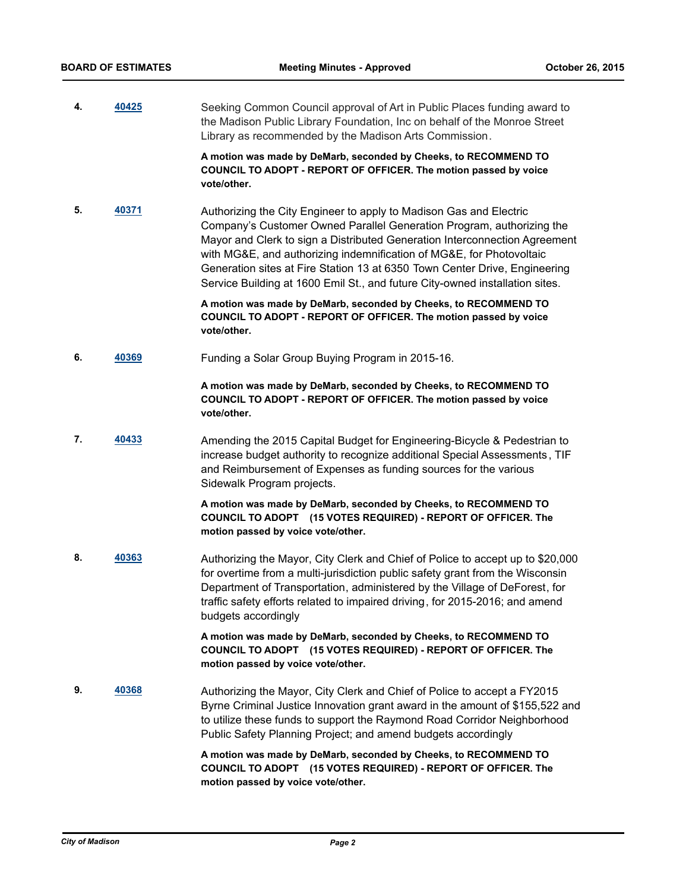**4. [40425](http://madison.legistar.com/gateway.aspx?m=l&id=/matter.aspx?key=43924)** Seeking Common Council approval of Art in Public Places funding award to the Madison Public Library Foundation, Inc on behalf of the Monroe Street Library as recommended by the Madison Arts Commission.

> **A motion was made by DeMarb, seconded by Cheeks, to RECOMMEND TO COUNCIL TO ADOPT - REPORT OF OFFICER. The motion passed by voice vote/other.**

**5. [40371](http://madison.legistar.com/gateway.aspx?m=l&id=/matter.aspx?key=43872)** Authorizing the City Engineer to apply to Madison Gas and Electric Company's Customer Owned Parallel Generation Program, authorizing the Mayor and Clerk to sign a Distributed Generation Interconnection Agreement with MG&E, and authorizing indemnification of MG&E, for Photovoltaic Generation sites at Fire Station 13 at 6350 Town Center Drive, Engineering Service Building at 1600 Emil St., and future City-owned installation sites.

> **A motion was made by DeMarb, seconded by Cheeks, to RECOMMEND TO COUNCIL TO ADOPT - REPORT OF OFFICER. The motion passed by voice vote/other.**

**6. [40369](http://madison.legistar.com/gateway.aspx?m=l&id=/matter.aspx?key=43870)** Funding a Solar Group Buying Program in 2015-16.

### **A motion was made by DeMarb, seconded by Cheeks, to RECOMMEND TO COUNCIL TO ADOPT - REPORT OF OFFICER. The motion passed by voice vote/other.**

**7. [40433](http://madison.legistar.com/gateway.aspx?m=l&id=/matter.aspx?key=43932)** Amending the 2015 Capital Budget for Engineering-Bicycle & Pedestrian to increase budget authority to recognize additional Special Assessments , TIF and Reimbursement of Expenses as funding sources for the various Sidewalk Program projects.

> **A motion was made by DeMarb, seconded by Cheeks, to RECOMMEND TO COUNCIL TO ADOPT (15 VOTES REQUIRED) - REPORT OF OFFICER. The motion passed by voice vote/other.**

**8. [40363](http://madison.legistar.com/gateway.aspx?m=l&id=/matter.aspx?key=43864)** Authorizing the Mayor, City Clerk and Chief of Police to accept up to \$20,000 for overtime from a multi-jurisdiction public safety grant from the Wisconsin Department of Transportation, administered by the Village of DeForest, for traffic safety efforts related to impaired driving, for 2015-2016; and amend budgets accordingly

> **A motion was made by DeMarb, seconded by Cheeks, to RECOMMEND TO COUNCIL TO ADOPT (15 VOTES REQUIRED) - REPORT OF OFFICER. The motion passed by voice vote/other.**

**9. [40368](http://madison.legistar.com/gateway.aspx?m=l&id=/matter.aspx?key=43869)** Authorizing the Mayor, City Clerk and Chief of Police to accept a FY2015 Byrne Criminal Justice Innovation grant award in the amount of \$155,522 and to utilize these funds to support the Raymond Road Corridor Neighborhood Public Safety Planning Project; and amend budgets accordingly

> **A motion was made by DeMarb, seconded by Cheeks, to RECOMMEND TO COUNCIL TO ADOPT (15 VOTES REQUIRED) - REPORT OF OFFICER. The motion passed by voice vote/other.**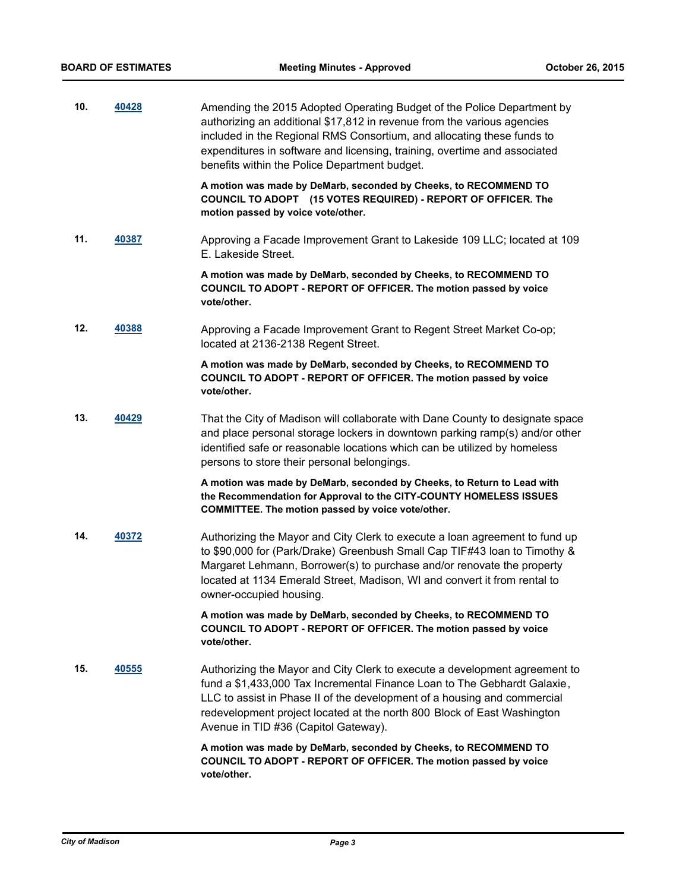| 10. | 40428 | Amending the 2015 Adopted Operating Budget of the Police Department by<br>authorizing an additional \$17,812 in revenue from the various agencies<br>included in the Regional RMS Consortium, and allocating these funds to<br>expenditures in software and licensing, training, overtime and associated<br>benefits within the Police Department budget. |
|-----|-------|-----------------------------------------------------------------------------------------------------------------------------------------------------------------------------------------------------------------------------------------------------------------------------------------------------------------------------------------------------------|
|     |       | A motion was made by DeMarb, seconded by Cheeks, to RECOMMEND TO<br>COUNCIL TO ADOPT (15 VOTES REQUIRED) - REPORT OF OFFICER. The<br>motion passed by voice vote/other.                                                                                                                                                                                   |
| 11. | 40387 | Approving a Facade Improvement Grant to Lakeside 109 LLC; located at 109<br>E. Lakeside Street.                                                                                                                                                                                                                                                           |
|     |       | A motion was made by DeMarb, seconded by Cheeks, to RECOMMEND TO<br>COUNCIL TO ADOPT - REPORT OF OFFICER. The motion passed by voice<br>vote/other.                                                                                                                                                                                                       |
| 12. | 40388 | Approving a Facade Improvement Grant to Regent Street Market Co-op;<br>located at 2136-2138 Regent Street.                                                                                                                                                                                                                                                |
|     |       | A motion was made by DeMarb, seconded by Cheeks, to RECOMMEND TO<br>COUNCIL TO ADOPT - REPORT OF OFFICER. The motion passed by voice<br>vote/other.                                                                                                                                                                                                       |
| 13. | 40429 | That the City of Madison will collaborate with Dane County to designate space<br>and place personal storage lockers in downtown parking ramp(s) and/or other<br>identified safe or reasonable locations which can be utilized by homeless<br>persons to store their personal belongings.                                                                  |
|     |       | A motion was made by DeMarb, seconded by Cheeks, to Return to Lead with<br>the Recommendation for Approval to the CITY-COUNTY HOMELESS ISSUES<br>COMMITTEE. The motion passed by voice vote/other.                                                                                                                                                        |
| 14. | 40372 | Authorizing the Mayor and City Clerk to execute a loan agreement to fund up<br>to \$90,000 for (Park/Drake) Greenbush Small Cap TIF#43 loan to Timothy &<br>Margaret Lehmann, Borrower(s) to purchase and/or renovate the property<br>located at 1134 Emerald Street, Madison, WI and convert it from rental to<br>owner-occupied housing.                |
|     |       | A motion was made by DeMarb, seconded by Cheeks, to RECOMMEND TO<br>COUNCIL TO ADOPT - REPORT OF OFFICER. The motion passed by voice<br>vote/other.                                                                                                                                                                                                       |
| 15. | 40555 | Authorizing the Mayor and City Clerk to execute a development agreement to<br>fund a \$1,433,000 Tax Incremental Finance Loan to The Gebhardt Galaxie,<br>LLC to assist in Phase II of the development of a housing and commercial<br>redevelopment project located at the north 800 Block of East Washington<br>Avenue in TID #36 (Capitol Gateway).     |
|     |       | A motion was made by DeMarb, seconded by Cheeks, to RECOMMEND TO<br>COUNCIL TO ADOPT - REPORT OF OFFICER. The motion passed by voice<br>vote/other.                                                                                                                                                                                                       |